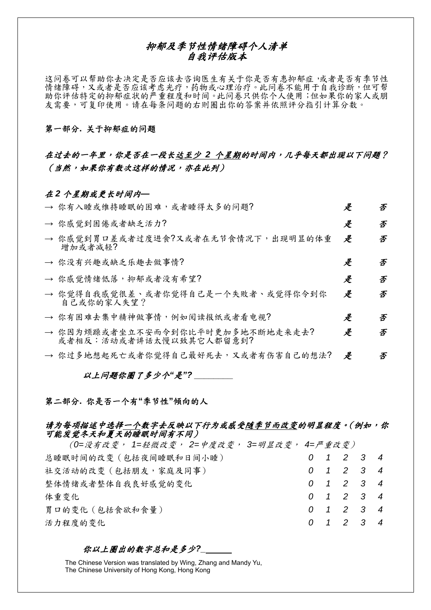## 抑郁及季节性情绪障碍个人清单 自我评估版本

这问卷可以帮助你去决定是否应该去咨询医生有关于你是否有患抑郁症,或者是否有季节性 情绪障碍,又或者是否应该考虑光疗,药物或心理治疗。此问卷不能用于自我诊断,但可帮 助你评估特定的抑郁症状的严重程度和时间。此问卷只供你个人使用;但如果你的家人或朋 友需要,可复印使用。请在每条问题的右则圈出你的答案并依照评分指引计算分数。

### 第一部分**.** 关于抑郁症的问题

## 在过去的一年里,你是否在一段长达至少 *2* 个星期的时间内,几乎每天都出现以下问题? (当然,如果你有数次这样的情况,亦在此列)

### 在 *2* 个星期或更长时间内*—*

| → 你有入睡或维持睡眠的困难,或者睡得太多的问题?                                   | 是 | 否 |
|-------------------------------------------------------------|---|---|
| → 你感觉到困倦或者缺乏活力?                                             | 是 | 否 |
| → 你感觉到胃口差或者过度进食?又或者在无节食情况下,出现明显的体重<br>增加或者减轻?               | 是 | 否 |
| → 你没有兴趣或缺乏乐趣去做事情?                                           | 是 | 否 |
| → 你感觉情绪低落,抑郁或者没有希望?                                         | 是 | 否 |
| → 你觉得自我感觉很差、或者你觉得自己是一个失败者、或觉得你令到你<br>自己或你的家人失望?             | 是 | 否 |
| → 你有困难去集中精神做事情,例如阅读报纸或者看电视?                                 | 是 | 否 |
| → 你因为烦躁或者坐立不安而令到你比平时更加多地不断地走来走去?<br>或者相反:活动或者讲话太慢以致其它人都留意到? | 是 | 否 |
| → 你过多地想起死亡或者你觉得自己最好死去,又或者有伤害自己的想法?                          | 是 | 否 |

以上问题你圈了多少个*"*是*"? \_\_\_\_\_\_\_\_*

### 第二部分**.** 你是否一个有**"**季节性**"**倾向的人

## 请为每项描述中选择一个数字去反映以下行为或感受随季节而改变的明显程度。(例如,你 可能发觉冬天和夏天的睡眠时间有不同)

(*0=*没有改变, *1=*轻微改变, *2=*中度改变, *3=*明显改变, *4=*严重改变) 总睡眠时间的改变(包括夜间睡眠和日间小睡) *0 1 2 3 4* 社交活动的改变(包括朋友,家庭及同事) *0 1 2 3 4* 整体情绪或者整体自我良好感觉的变化 *0 1 2 3 4* 体重变化 *0 1 2 3 4* 胃口的变化(包括食欲和食量) *0 1 2 3 4* 活力程度的变化 *0 1 2 3 4*

#### 你以上圈出的数字总和是多少*?\_*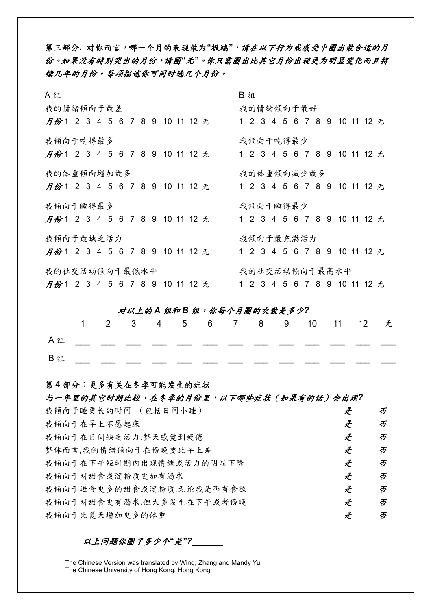第三部分**.** 对你而言,哪一个月的表现最为**"**极端**"**,请在以下行为或感受中圈出最合适的月 份。如果没有特别突出的月份,请圈*"*无*"*。你只需圈出比其它月份出现更为明显变化而且持 续几年的月份。每项描述你可同时选几个月份。

| A 组                                                                | B 组                          |  |  |  |  |  |
|--------------------------------------------------------------------|------------------------------|--|--|--|--|--|
| 我的情绪倾向于最差                                                          | 我的情绪倾向于最好                    |  |  |  |  |  |
| 月份123456789101112无123456789101112无                                 |                              |  |  |  |  |  |
| 我倾向于吃得最多                                                           | 我倾向于吃得最少                     |  |  |  |  |  |
| <b>月份123456789101112</b> 无                                         | 1 2 3 4 5 6 7 8 9 10 11 12 无 |  |  |  |  |  |
| 我的体重倾向增加最多                                                         | 我的体重倾向减少最多                   |  |  |  |  |  |
| <b>月份1 2 3 4 5 6 7 8 9 10 11 12 无</b> 1 2 3 4 5 6 7 8 9 10 11 12 无 |                              |  |  |  |  |  |
| 我倾向于睡得最多                                                           | 我倾向于睡得最少                     |  |  |  |  |  |
| <b>月份123456789101112</b> 无                                         | 1 2 3 4 5 6 7 8 9 10 11 12 无 |  |  |  |  |  |
| 我倾向于最缺乏活力                                                          | 我倾向于最充满活力                    |  |  |  |  |  |
| <i>月份</i> 123456789101112 无                                        | 1 2 3 4 5 6 7 8 9 10 11 12 无 |  |  |  |  |  |
| 我的社交活动倾向于最低水平                                                      | 我的社交活动倾向于最高水平                |  |  |  |  |  |
| <b>月份123456789101112</b> 无                                         | 1 2 3 4 5 6 7 8 9 10 11 12 无 |  |  |  |  |  |

## 对以上的 *A* 组和 *B* 组,你每个月圈的次数是多少*?*

|                        |  |  |  |  | 1 2 3 4 5 6 7 8 9 10 11 12 无 |  |  |
|------------------------|--|--|--|--|------------------------------|--|--|
| $A \nleftrightarrow A$ |  |  |  |  |                              |  |  |
| B 组                    |  |  |  |  |                              |  |  |

## 第 **4** 部分:更多有关在冬季可能发生的症状

## 与一年里的其它时期比较,在冬季的月份里,以下哪些症状(如果有的话)会出现*?*

| 我倾向于睡更长的时间 (包括日间小睡)      | 是 | 否 |
|--------------------------|---|---|
| 我倾向于在早上不愿起床              | 是 | 否 |
| 我倾向于在日间缺乏活力,整天感觉到疲倦      | 是 | 否 |
| 整体而言,我的情绪倾向于在傍晚要比早上差     | 是 | 否 |
| 我倾向于在下午短时期内出现情绪或活力的明显下降  | 是 | 否 |
| 我倾向于对甜食或淀粉质更加有渴求         | 是 | 否 |
| 我倾向于进食更多的甜食或淀粉质,无论我是否有食欲 | 是 | 否 |
| 我倾向于对甜食更有渴求,但大多发生在下午或者傍晚 | 是 | 否 |
| 我倾向于比夏天增加更多的体重           | 是 | 否 |

以上问题你圈了多少个*"*是*"?*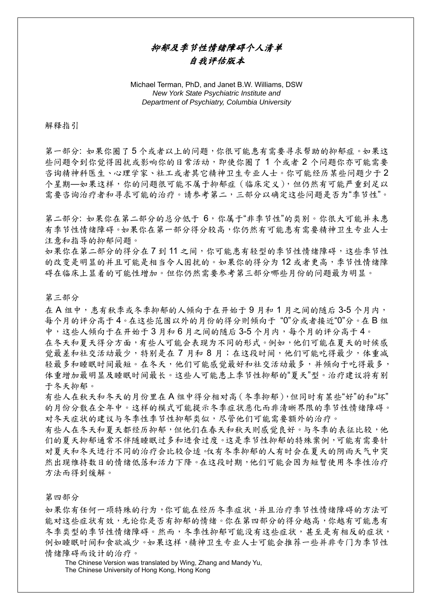# 抑郁及季节性情绪障碍个人清单 自我评估版本

Michael Terman, PhD, and Janet B.W. Williams, DSW *New York State Psychiatric Institute and Department of Psychiatry, Columbia University* 

#### 解释指引

第一部分: 如果你圈了5个或者以上的问题,你很可能患有需要寻求帮助的抑郁症。如果这 些问题令到你觉得困扰或影响你的日常活动,即使你圈了 1 个或者 2 个问题你亦可能需要 咨询精神科医生、心理学家、社工或者其它精神卫生专业人士。你可能经历某些问题少于 2 个星期—如果这样,你的问题很可能不属于抑郁症(临床定义),但仍然有可能严重到足以 需要咨询治疗者和寻求可能的治疗。请参考第二,三部分以确定这些问题是否为"季节性"。

第二部分: 如果你在第二部分的总分低于 6,你属于"非季节性"的类别。你很大可能并未患 有季节性情绪障碍。如果你在第一部分得分较高,你仍然有可能患有需要精神卫生专业人士 注意和指导的抑郁问题。

如果你在第二部分的得分在7到11之间,你可能患有轻型的季节性情绪障碍,这些季节性 的改变是明显的并且可能是相当令人困扰的。如果你的得分为 12 或者更高,季节性情绪障 碍在临床上显着的可能性增加。但你仍然需要参考第三部分哪些月份的问题最为明显。

第三部分

在 A 组中, 患有秋季或冬季抑郁的人倾向于在开始于 9 月和 1 月之间的随后 3-5 个月内, 每个月的评分高于 4。在这些范围以外的月份的得分则倾向于 "0"分或者接近"0"分。在 B 组 中,这些人倾向于在开始于 3 月和 6 月之间的随后 3-5 个月内,每个月的评分高于 4。

在冬天和夏天得分方面,有些人可能会表现为不同的形式。例如,他们可能在夏天的时候感 觉最差和社交活动最少,特别是在 7 月和 8 月;在这段时间,他们可能吃得最少,体重减 轻最多和睡眠时间最短。在冬天,他们可能感觉最好和社交活动最多,并倾向于吃得最多, 体重增加最明显及睡眠时间最长。这些人可能患上季节性抑郁的"夏天"型。治疗建议将有别 于冬天抑郁。

有些人在秋天和冬天的月份里在 A 组中得分相对高(冬季抑郁),但同时有某些"好"的和"坏" 的月份分散在全年中。这样的模式可能提示冬季症状恶化而非清晰界限的季节性情绪障碍。 对冬天症状的建议与冬季性季节性抑郁类似,尽管他们可能需要额外的治疗。

有些人在冬天和夏天都经历抑郁,但他们在春天和秋天则感觉良好。与冬季的表征比较,他 们的夏天抑郁通常不伴随睡眠过多和进食过度。这是季节性抑郁的特殊案例,可能有需要针 对夏天和冬天进行不同的治疗会比较合适。仅有冬季抑郁的人有时会在夏天的阴雨天气中突 然出现维持数日的情绪低落和活力下降。在这段时期,他们可能会因为短暂使用冬季性治疗 方法而得到缓解。

#### 第四部分

如果你有任何一项特殊的行为,你可能在经历冬季症状,并且治疗季节性情绪障碍的方法可 能对这些症状有效,无论你是否有抑郁的情绪。你在第四部分的得分越高,你越有可能患有 冬季类型的季节性情绪障碍。然而,冬季性抑郁可能没有这些症状,甚至是有相反的症状, 例如睡眠时间和食欲减少。如果这样,精神卫生专业人士可能会推荐一些并非专门为季节性 情绪障碍而设计的治疗。